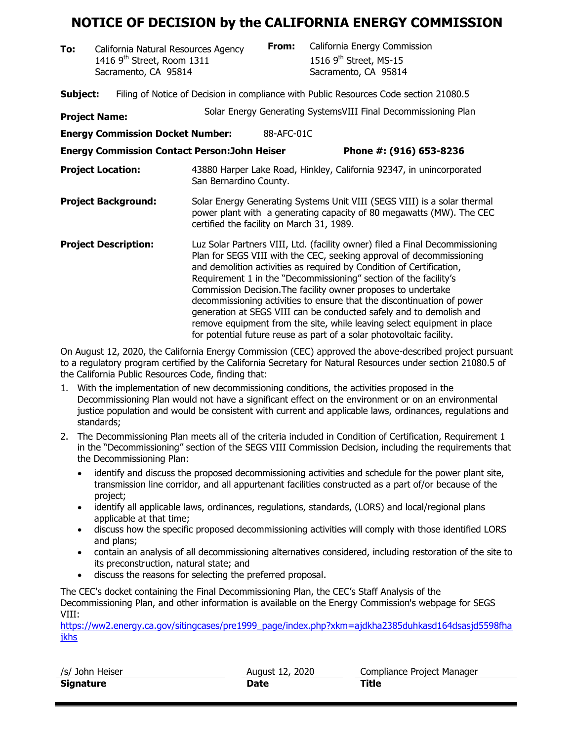## **NOTICE OF DECISION by the CALIFORNIA ENERGY COMMISSION**

**To:** California Natural Resources Agency **From:** California Energy Commission<br>1416 9<sup>th</sup> Street, Room 1311 1516 9<sup>th</sup> Street, MS-15 1416  $9<sup>th</sup>$  Street, Room 1311 Sacramento, CA 95814 Sacramento, CA 95814

**Subject:** Filing of Notice of Decision in compliance with Public Resources Code section 21080.5

| <b>Project Name:</b>                                 |                                                                                                                                                                                                                                                                                                                                                                                                                                                                                                                                                                                                                                                                       |            | Solar Energy Generating SystemsVIII Final Decommissioning Plan |  |
|------------------------------------------------------|-----------------------------------------------------------------------------------------------------------------------------------------------------------------------------------------------------------------------------------------------------------------------------------------------------------------------------------------------------------------------------------------------------------------------------------------------------------------------------------------------------------------------------------------------------------------------------------------------------------------------------------------------------------------------|------------|----------------------------------------------------------------|--|
| <b>Energy Commission Docket Number:</b>              |                                                                                                                                                                                                                                                                                                                                                                                                                                                                                                                                                                                                                                                                       | 88-AFC-01C |                                                                |  |
| <b>Energy Commission Contact Person: John Heiser</b> |                                                                                                                                                                                                                                                                                                                                                                                                                                                                                                                                                                                                                                                                       |            | Phone #: (916) 653-8236                                        |  |
| <b>Project Location:</b>                             | 43880 Harper Lake Road, Hinkley, California 92347, in unincorporated<br>San Bernardino County.                                                                                                                                                                                                                                                                                                                                                                                                                                                                                                                                                                        |            |                                                                |  |
| <b>Project Background:</b>                           | Solar Energy Generating Systems Unit VIII (SEGS VIII) is a solar thermal<br>power plant with a generating capacity of 80 megawatts (MW). The CEC<br>certified the facility on March 31, 1989.                                                                                                                                                                                                                                                                                                                                                                                                                                                                         |            |                                                                |  |
| <b>Project Description:</b>                          | Luz Solar Partners VIII, Ltd. (facility owner) filed a Final Decommissioning<br>Plan for SEGS VIII with the CEC, seeking approval of decommissioning<br>and demolition activities as required by Condition of Certification,<br>Requirement 1 in the "Decommissioning" section of the facility's<br>Commission Decision. The facility owner proposes to undertake<br>decommissioning activities to ensure that the discontinuation of power<br>generation at SEGS VIII can be conducted safely and to demolish and<br>remove equipment from the site, while leaving select equipment in place<br>for potential future reuse as part of a solar photovoltaic facility. |            |                                                                |  |

On August 12, 2020, the California Energy Commission (CEC) approved the above-described project pursuant to a regulatory program certified by the California Secretary for Natural Resources under section 21080.5 of the California Public Resources Code, finding that:

- 1. With the implementation of new decommissioning conditions, the activities proposed in the Decommissioning Plan would not have a significant effect on the environment or on an environmental justice population and would be consistent with current and applicable laws, ordinances, regulations and standards;
- 2. The Decommissioning Plan meets all of the criteria included in Condition of Certification, Requirement 1 in the "Decommissioning" section of the SEGS VIII Commission Decision, including the requirements that the Decommissioning Plan:
	- identify and discuss the proposed decommissioning activities and schedule for the power plant site, transmission line corridor, and all appurtenant facilities constructed as a part of/or because of the project;
	- identify all applicable laws, ordinances, regulations, standards, (LORS) and local/regional plans applicable at that time;
	- discuss how the specific proposed decommissioning activities will comply with those identified LORS and plans;
	- contain an analysis of all decommissioning alternatives considered, including restoration of the site to its preconstruction, natural state; and
	- discuss the reasons for selecting the preferred proposal.

The CEC's docket containing the Final Decommissioning Plan, the CEC's Staff Analysis of the Decommissioning Plan, and other information is available on the Energy Commission's webpage for SEGS VIII:

[https://ww2.energy.ca.gov/sitingcases/pre1999\\_page/index.php?xkm=ajdkha2385duhkasd164dsasjd5598fha](https://ww2.energy.ca.gov/sitingcases/pre1999_page/index.php?xkm=ajdkha2385duhkasd164dsasjd5598fhajkhs) [jkhs](https://ww2.energy.ca.gov/sitingcases/pre1999_page/index.php?xkm=ajdkha2385duhkasd164dsasjd5598fhajkhs)

| /s/ John Heiser | August 12, 2020 | Compliance Project Manager |
|-----------------|-----------------|----------------------------|
| Signature       | Date            | Title                      |